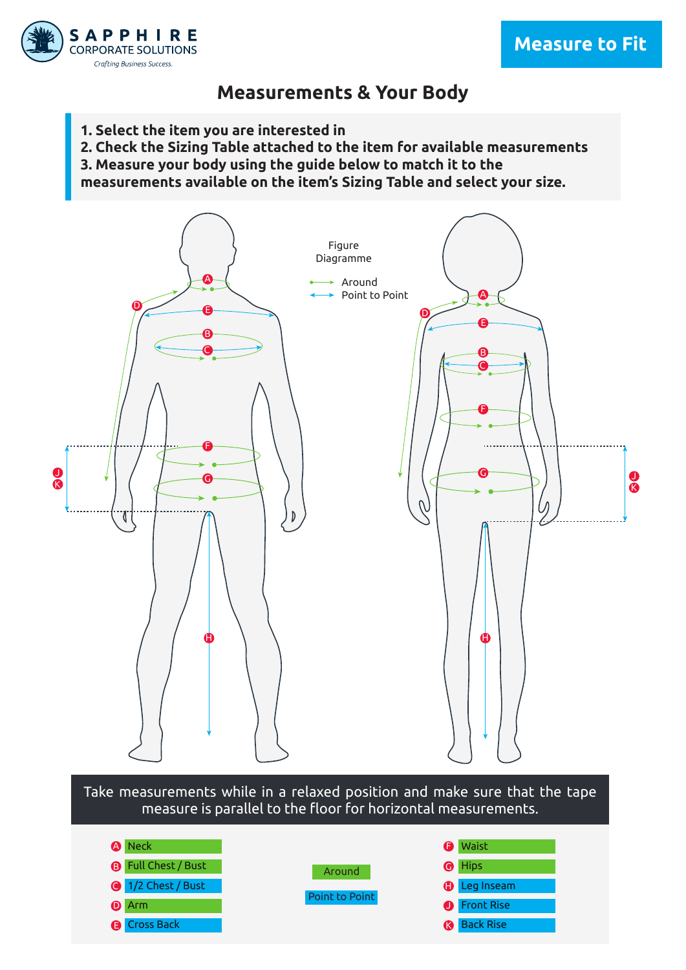



### **Measurements & Your Body**

- **1. Select the item you are interested in**
- **2. Check the Sizing Table attached to the item for available measurements**
- **3. Measure your body using the guide below to match it to the**

**measurements available on the item's Sizing Table and select your size.**